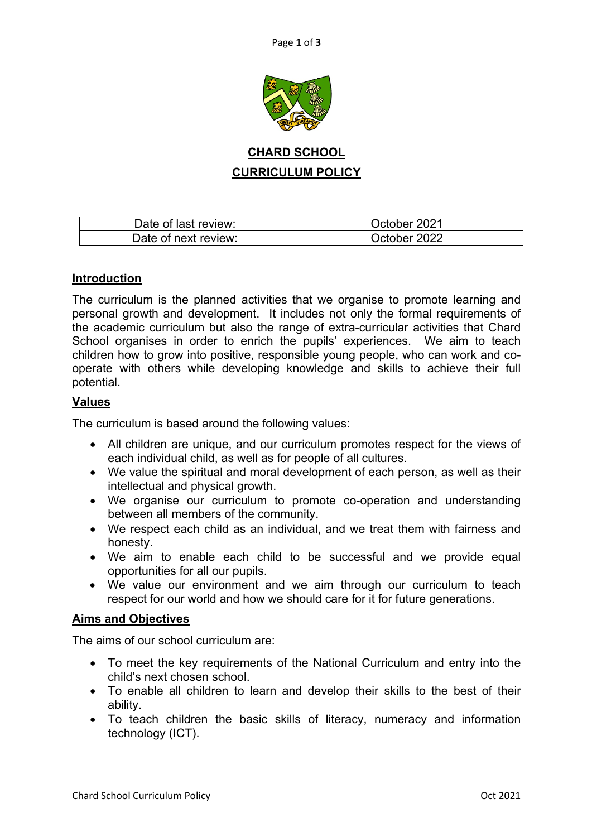

# **CHARD SCHOOL CURRICULUM POLICY**

| Date of last review: | October 2021 |
|----------------------|--------------|
| Date of next review: | October 2022 |

### **Introduction**

The curriculum is the planned activities that we organise to promote learning and personal growth and development. It includes not only the formal requirements of the academic curriculum but also the range of extra-curricular activities that Chard School organises in order to enrich the pupils' experiences. We aim to teach children how to grow into positive, responsible young people, who can work and cooperate with others while developing knowledge and skills to achieve their full potential.

### **Values**

The curriculum is based around the following values:

- All children are unique, and our curriculum promotes respect for the views of each individual child, as well as for people of all cultures.
- We value the spiritual and moral development of each person, as well as their intellectual and physical growth.
- We organise our curriculum to promote co-operation and understanding between all members of the community.
- We respect each child as an individual, and we treat them with fairness and honesty.
- We aim to enable each child to be successful and we provide equal opportunities for all our pupils.
- We value our environment and we aim through our curriculum to teach respect for our world and how we should care for it for future generations.

### **Aims and Objectives**

The aims of our school curriculum are:

- To meet the key requirements of the National Curriculum and entry into the child's next chosen school.
- To enable all children to learn and develop their skills to the best of their ability.
- To teach children the basic skills of literacy, numeracy and information technology (ICT).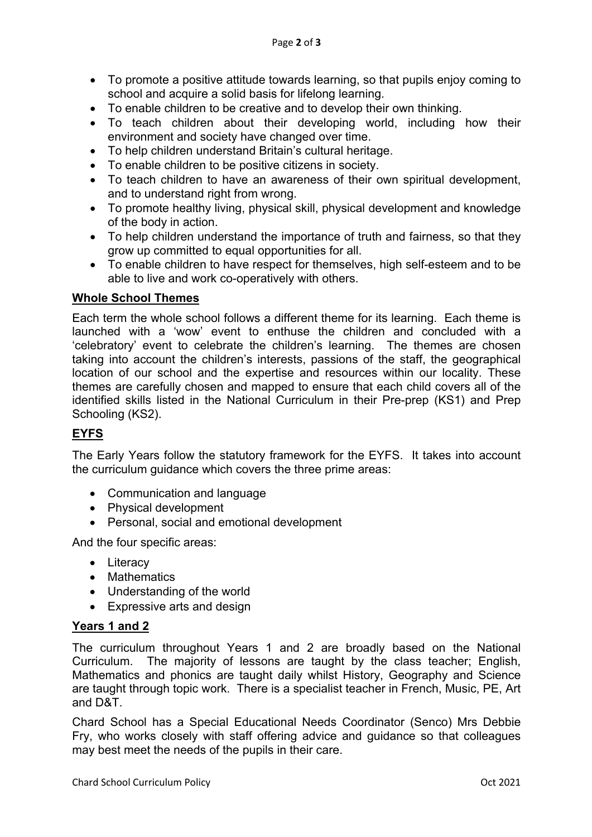- To promote a positive attitude towards learning, so that pupils enjoy coming to school and acquire a solid basis for lifelong learning.
- To enable children to be creative and to develop their own thinking.
- To teach children about their developing world, including how their environment and society have changed over time.
- To help children understand Britain's cultural heritage.
- To enable children to be positive citizens in society.
- To teach children to have an awareness of their own spiritual development, and to understand right from wrong.
- To promote healthy living, physical skill, physical development and knowledge of the body in action.
- To help children understand the importance of truth and fairness, so that they grow up committed to equal opportunities for all.
- To enable children to have respect for themselves, high self-esteem and to be able to live and work co-operatively with others.

### **Whole School Themes**

Each term the whole school follows a different theme for its learning. Each theme is launched with a 'wow' event to enthuse the children and concluded with a 'celebratory' event to celebrate the children's learning. The themes are chosen taking into account the children's interests, passions of the staff, the geographical location of our school and the expertise and resources within our locality. These themes are carefully chosen and mapped to ensure that each child covers all of the identified skills listed in the National Curriculum in their Pre-prep (KS1) and Prep Schooling (KS2).

# **EYFS**

The Early Years follow the statutory framework for the EYFS. It takes into account the curriculum guidance which covers the three prime areas:

- Communication and language
- Physical development
- Personal, social and emotional development

And the four specific areas:

- Literacy
- Mathematics
- Understanding of the world
- Expressive arts and design

#### **Years 1 and 2**

The curriculum throughout Years 1 and 2 are broadly based on the National Curriculum. The majority of lessons are taught by the class teacher; English, Mathematics and phonics are taught daily whilst History, Geography and Science are taught through topic work. There is a specialist teacher in French, Music, PE, Art and D&T.

Chard School has a Special Educational Needs Coordinator (Senco) Mrs Debbie Fry, who works closely with staff offering advice and guidance so that colleagues may best meet the needs of the pupils in their care.